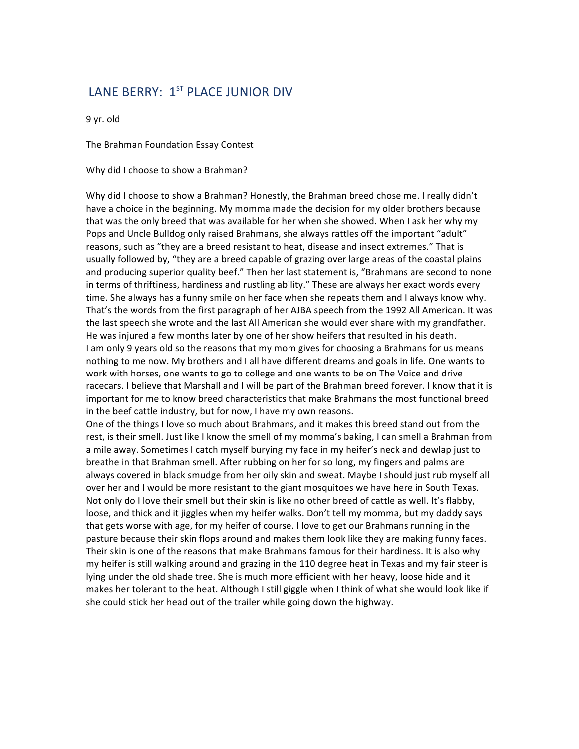## LANE BERRY: 1<sup>ST</sup> PLACE JUNIOR DIV

9 yr. old

The Brahman Foundation Essay Contest

Why did I choose to show a Brahman?

Why did I choose to show a Brahman? Honestly, the Brahman breed chose me. I really didn't have a choice in the beginning. My momma made the decision for my older brothers because that was the only breed that was available for her when she showed. When I ask her why my Pops and Uncle Bulldog only raised Brahmans, she always rattles off the important "adult" reasons, such as "they are a breed resistant to heat, disease and insect extremes." That is usually followed by, "they are a breed capable of grazing over large areas of the coastal plains and producing superior quality beef." Then her last statement is, "Brahmans are second to none in terms of thriftiness, hardiness and rustling ability." These are always her exact words every time. She always has a funny smile on her face when she repeats them and I always know why. That's the words from the first paragraph of her AJBA speech from the 1992 All American. It was the last speech she wrote and the last All American she would ever share with my grandfather. He was injured a few months later by one of her show heifers that resulted in his death. I am only 9 years old so the reasons that my mom gives for choosing a Brahmans for us means nothing to me now. My brothers and I all have different dreams and goals in life. One wants to work with horses, one wants to go to college and one wants to be on The Voice and drive racecars. I believe that Marshall and I will be part of the Brahman breed forever. I know that it is important for me to know breed characteristics that make Brahmans the most functional breed in the beef cattle industry, but for now, I have my own reasons.

One of the things I love so much about Brahmans, and it makes this breed stand out from the rest, is their smell. Just like I know the smell of my momma's baking, I can smell a Brahman from a mile away. Sometimes I catch myself burying my face in my heifer's neck and dewlap just to breathe in that Brahman smell. After rubbing on her for so long, my fingers and palms are always covered in black smudge from her oily skin and sweat. Maybe I should just rub myself all over her and I would be more resistant to the giant mosquitoes we have here in South Texas. Not only do I love their smell but their skin is like no other breed of cattle as well. It's flabby, loose, and thick and it jiggles when my heifer walks. Don't tell my momma, but my daddy says that gets worse with age, for my heifer of course. I love to get our Brahmans running in the pasture because their skin flops around and makes them look like they are making funny faces. Their skin is one of the reasons that make Brahmans famous for their hardiness. It is also why my heifer is still walking around and grazing in the 110 degree heat in Texas and my fair steer is lying under the old shade tree. She is much more efficient with her heavy, loose hide and it makes her tolerant to the heat. Although I still giggle when I think of what she would look like if she could stick her head out of the trailer while going down the highway.